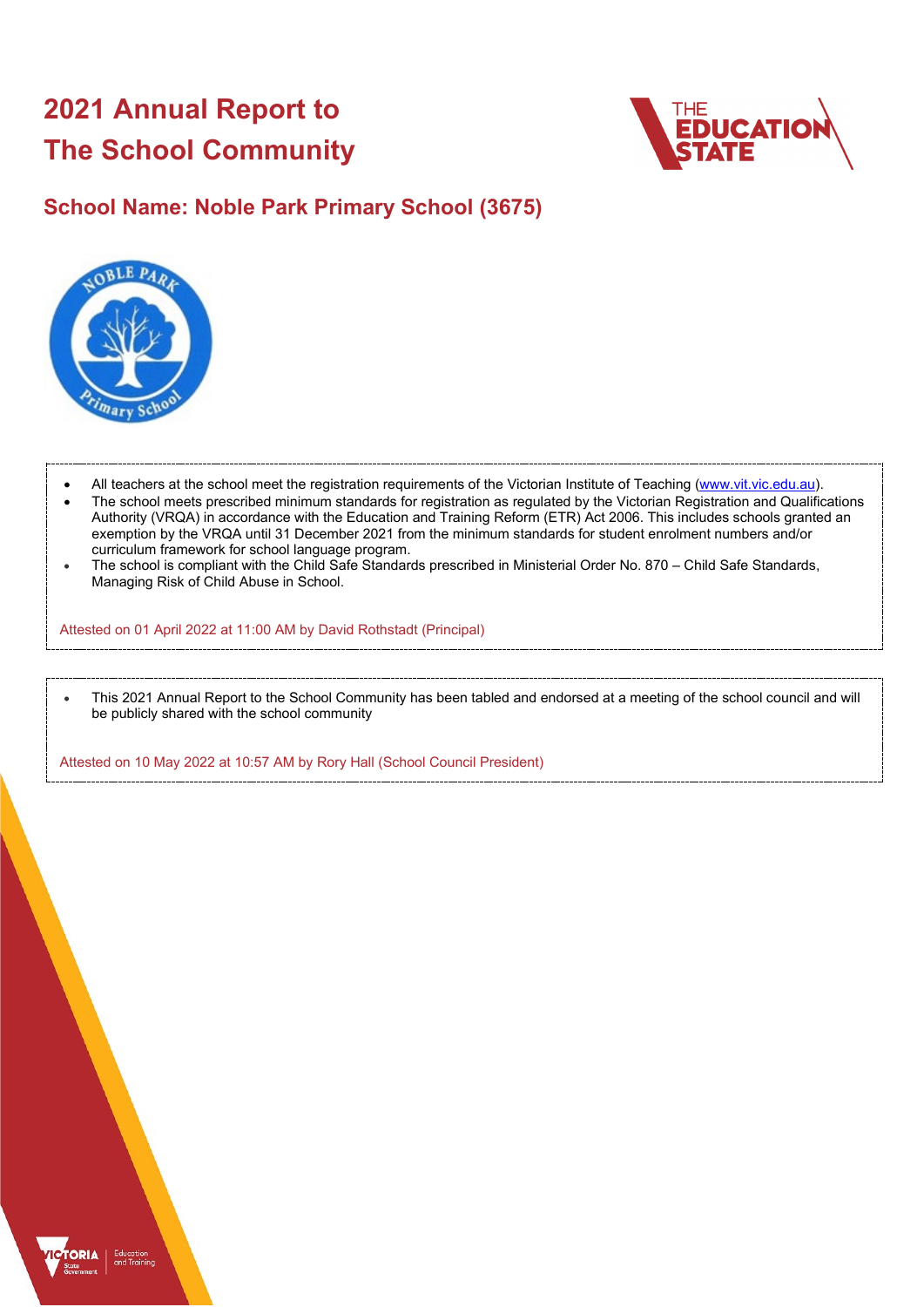# **2021 Annual Report to The School Community**



## **School Name: Noble Park Primary School (3675)**



- All teachers at the school meet the registration requirements of the Victorian Institute of Teaching [\(www.vit.vic.edu.au\)](https://www.vit.vic.edu.au/).
- The school meets prescribed minimum standards for registration as regulated by the Victorian Registration and Qualifications Authority (VRQA) in accordance with the Education and Training Reform (ETR) Act 2006. This includes schools granted an exemption by the VRQA until 31 December 2021 from the minimum standards for student enrolment numbers and/or curriculum framework for school language program.
- The school is compliant with the Child Safe Standards prescribed in Ministerial Order No. 870 Child Safe Standards, Managing Risk of Child Abuse in School.

Attested on 01 April 2022 at 11:00 AM by David Rothstadt (Principal)

• This 2021 Annual Report to the School Community has been tabled and endorsed at a meeting of the school council and will be publicly shared with the school community

Attested on 10 May 2022 at 10:57 AM by Rory Hall (School Council President)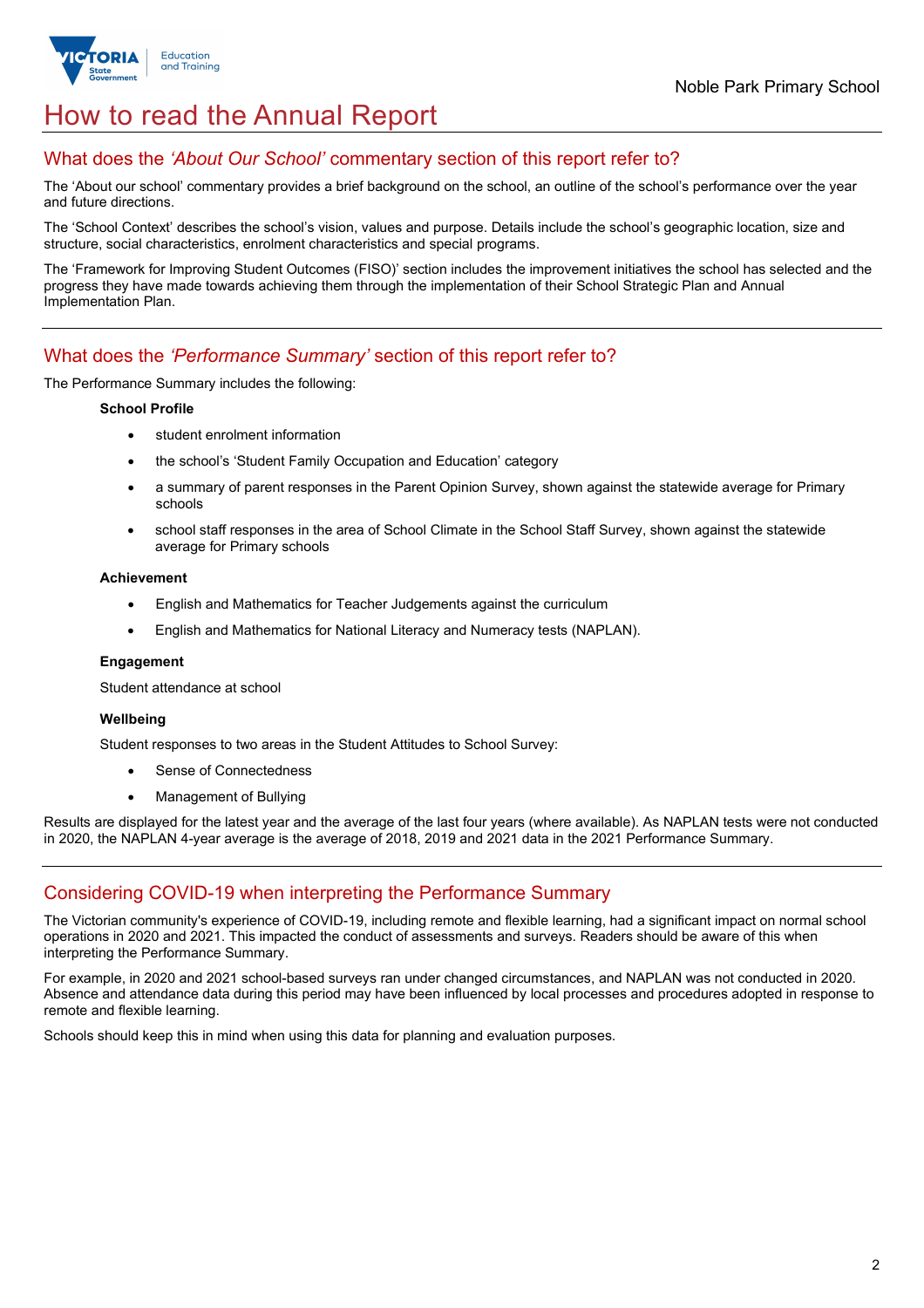

## How to read the Annual Report

## What does the *'About Our School'* commentary section of this report refer to?

The 'About our school' commentary provides a brief background on the school, an outline of the school's performance over the year and future directions.

The 'School Context' describes the school's vision, values and purpose. Details include the school's geographic location, size and structure, social characteristics, enrolment characteristics and special programs.

The 'Framework for Improving Student Outcomes (FISO)' section includes the improvement initiatives the school has selected and the progress they have made towards achieving them through the implementation of their School Strategic Plan and Annual Implementation Plan.

## What does the *'Performance Summary'* section of this report refer to?

The Performance Summary includes the following:

#### **School Profile**

- student enrolment information
- the school's 'Student Family Occupation and Education' category
- a summary of parent responses in the Parent Opinion Survey, shown against the statewide average for Primary schools
- school staff responses in the area of School Climate in the School Staff Survey, shown against the statewide average for Primary schools

#### **Achievement**

- English and Mathematics for Teacher Judgements against the curriculum
- English and Mathematics for National Literacy and Numeracy tests (NAPLAN).

#### **Engagement**

Student attendance at school

#### **Wellbeing**

Student responses to two areas in the Student Attitudes to School Survey:

- Sense of Connectedness
- Management of Bullying

Results are displayed for the latest year and the average of the last four years (where available). As NAPLAN tests were not conducted in 2020, the NAPLAN 4-year average is the average of 2018, 2019 and 2021 data in the 2021 Performance Summary.

## Considering COVID-19 when interpreting the Performance Summary

The Victorian community's experience of COVID-19, including remote and flexible learning, had a significant impact on normal school operations in 2020 and 2021. This impacted the conduct of assessments and surveys. Readers should be aware of this when interpreting the Performance Summary.

For example, in 2020 and 2021 school-based surveys ran under changed circumstances, and NAPLAN was not conducted in 2020. Absence and attendance data during this period may have been influenced by local processes and procedures adopted in response to remote and flexible learning.

Schools should keep this in mind when using this data for planning and evaluation purposes.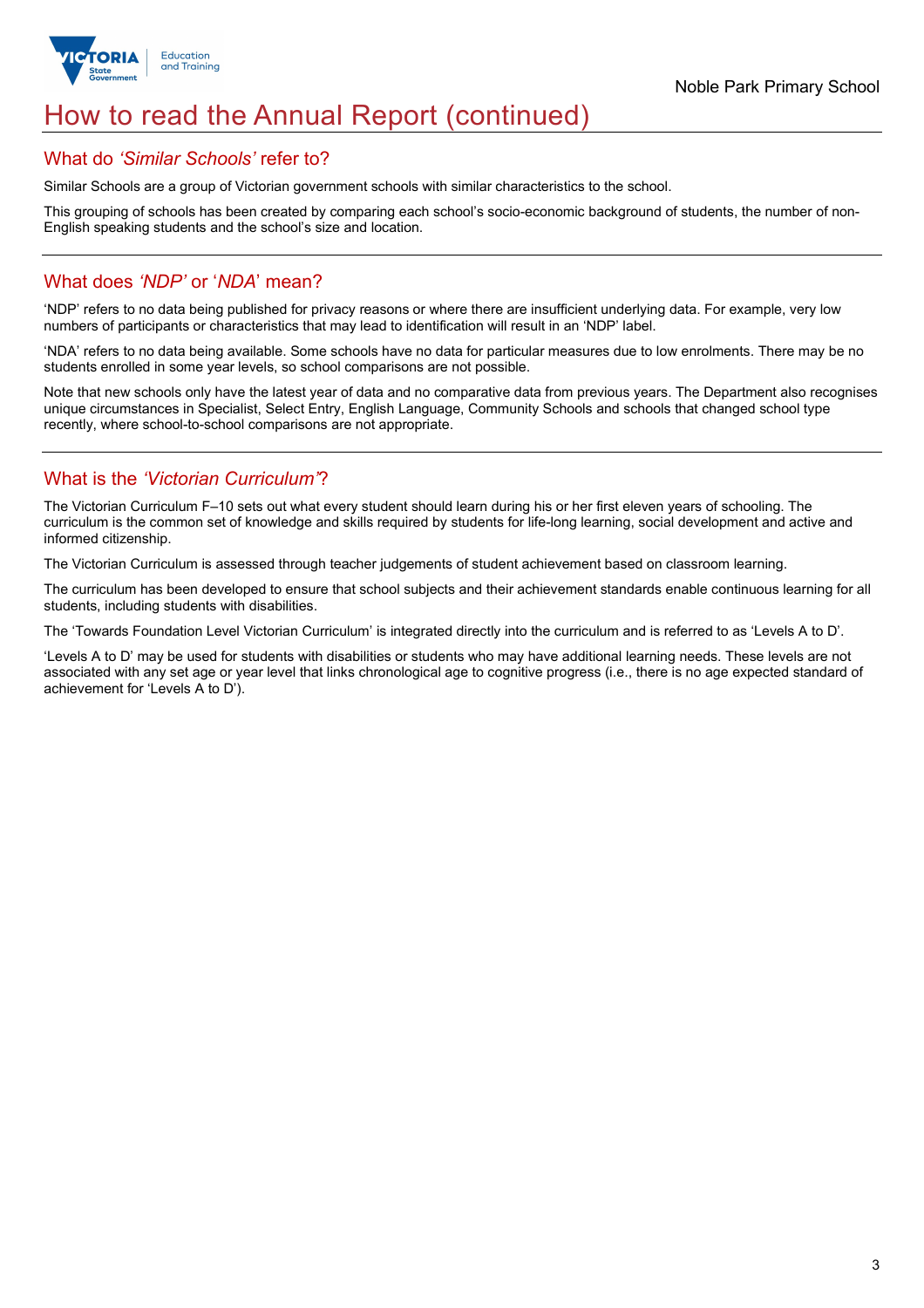

## How to read the Annual Report (continued)

## What do *'Similar Schools'* refer to?

Similar Schools are a group of Victorian government schools with similar characteristics to the school.

This grouping of schools has been created by comparing each school's socio-economic background of students, the number of non-English speaking students and the school's size and location.

## What does *'NDP'* or '*NDA*' mean?

'NDP' refers to no data being published for privacy reasons or where there are insufficient underlying data. For example, very low numbers of participants or characteristics that may lead to identification will result in an 'NDP' label.

'NDA' refers to no data being available. Some schools have no data for particular measures due to low enrolments. There may be no students enrolled in some year levels, so school comparisons are not possible.

Note that new schools only have the latest year of data and no comparative data from previous years. The Department also recognises unique circumstances in Specialist, Select Entry, English Language, Community Schools and schools that changed school type recently, where school-to-school comparisons are not appropriate.

## What is the *'Victorian Curriculum'*?

The Victorian Curriculum F–10 sets out what every student should learn during his or her first eleven years of schooling. The curriculum is the common set of knowledge and skills required by students for life-long learning, social development and active and informed citizenship.

The Victorian Curriculum is assessed through teacher judgements of student achievement based on classroom learning.

The curriculum has been developed to ensure that school subjects and their achievement standards enable continuous learning for all students, including students with disabilities.

The 'Towards Foundation Level Victorian Curriculum' is integrated directly into the curriculum and is referred to as 'Levels A to D'.

'Levels A to D' may be used for students with disabilities or students who may have additional learning needs. These levels are not associated with any set age or year level that links chronological age to cognitive progress (i.e., there is no age expected standard of achievement for 'Levels A to D').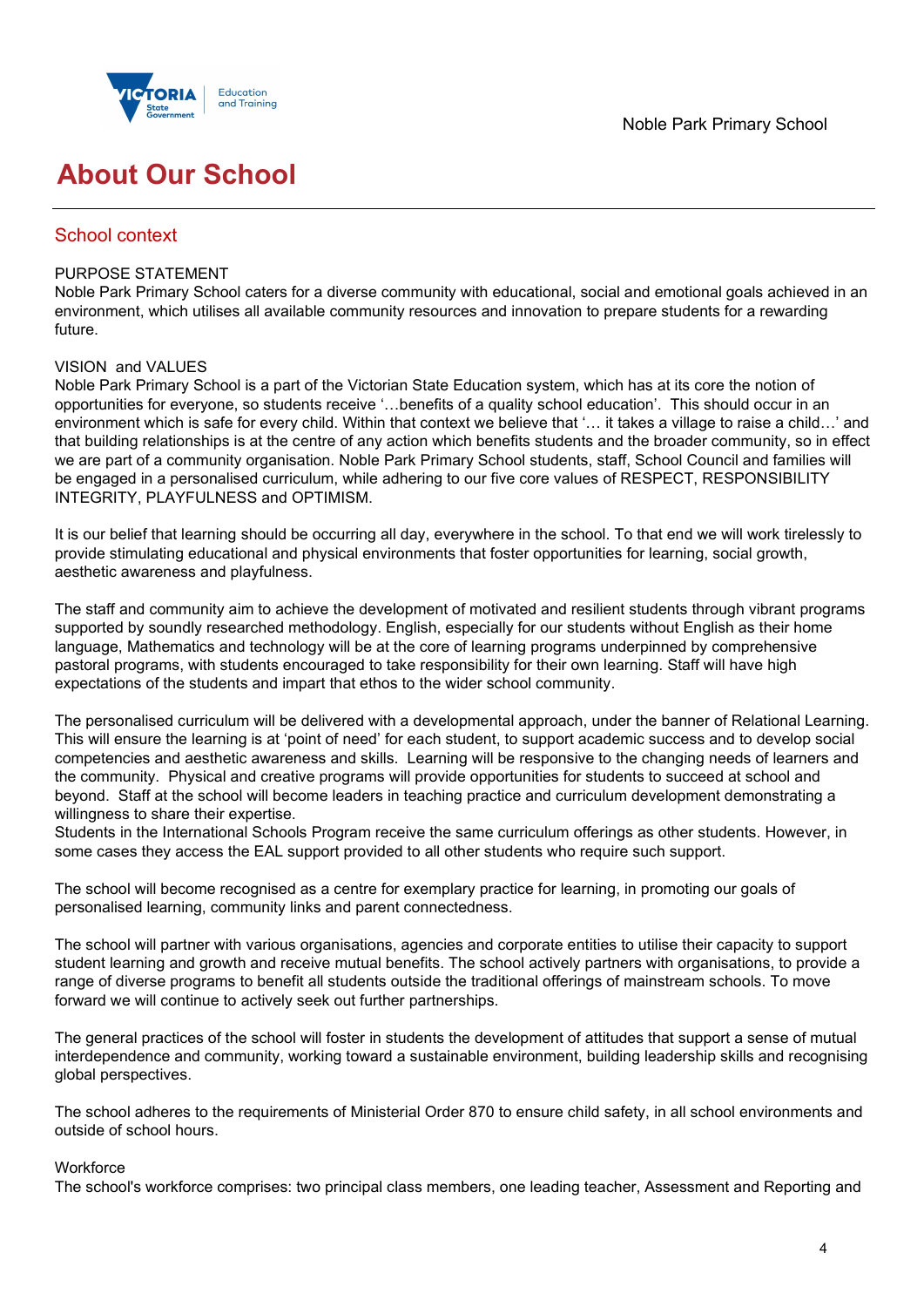



## **About Our School**

## School context

## PURPOSE STATEMENT

Noble Park Primary School caters for a diverse community with educational, social and emotional goals achieved in an environment, which utilises all available community resources and innovation to prepare students for a rewarding future.

## VISION and VALUES

Noble Park Primary School is a part of the Victorian State Education system, which has at its core the notion of opportunities for everyone, so students receive '…benefits of a quality school education'. This should occur in an environment which is safe for every child. Within that context we believe that '… it takes a village to raise a child…' and that building relationships is at the centre of any action which benefits students and the broader community, so in effect we are part of a community organisation. Noble Park Primary School students, staff, School Council and families will be engaged in a personalised curriculum, while adhering to our five core values of RESPECT, RESPONSIBILITY INTEGRITY, PLAYFULNESS and OPTIMISM.

It is our belief that learning should be occurring all day, everywhere in the school. To that end we will work tirelessly to provide stimulating educational and physical environments that foster opportunities for learning, social growth, aesthetic awareness and playfulness.

The staff and community aim to achieve the development of motivated and resilient students through vibrant programs supported by soundly researched methodology. English, especially for our students without English as their home language, Mathematics and technology will be at the core of learning programs underpinned by comprehensive pastoral programs, with students encouraged to take responsibility for their own learning. Staff will have high expectations of the students and impart that ethos to the wider school community.

The personalised curriculum will be delivered with a developmental approach, under the banner of Relational Learning. This will ensure the learning is at 'point of need' for each student, to support academic success and to develop social competencies and aesthetic awareness and skills. Learning will be responsive to the changing needs of learners and the community. Physical and creative programs will provide opportunities for students to succeed at school and beyond. Staff at the school will become leaders in teaching practice and curriculum development demonstrating a willingness to share their expertise.

Students in the International Schools Program receive the same curriculum offerings as other students. However, in some cases they access the EAL support provided to all other students who require such support.

The school will become recognised as a centre for exemplary practice for learning, in promoting our goals of personalised learning, community links and parent connectedness.

The school will partner with various organisations, agencies and corporate entities to utilise their capacity to support student learning and growth and receive mutual benefits. The school actively partners with organisations, to provide a range of diverse programs to benefit all students outside the traditional offerings of mainstream schools. To move forward we will continue to actively seek out further partnerships.

The general practices of the school will foster in students the development of attitudes that support a sense of mutual interdependence and community, working toward a sustainable environment, building leadership skills and recognising global perspectives.

The school adheres to the requirements of Ministerial Order 870 to ensure child safety, in all school environments and outside of school hours.

#### **Workforce**

The school's workforce comprises: two principal class members, one leading teacher, Assessment and Reporting and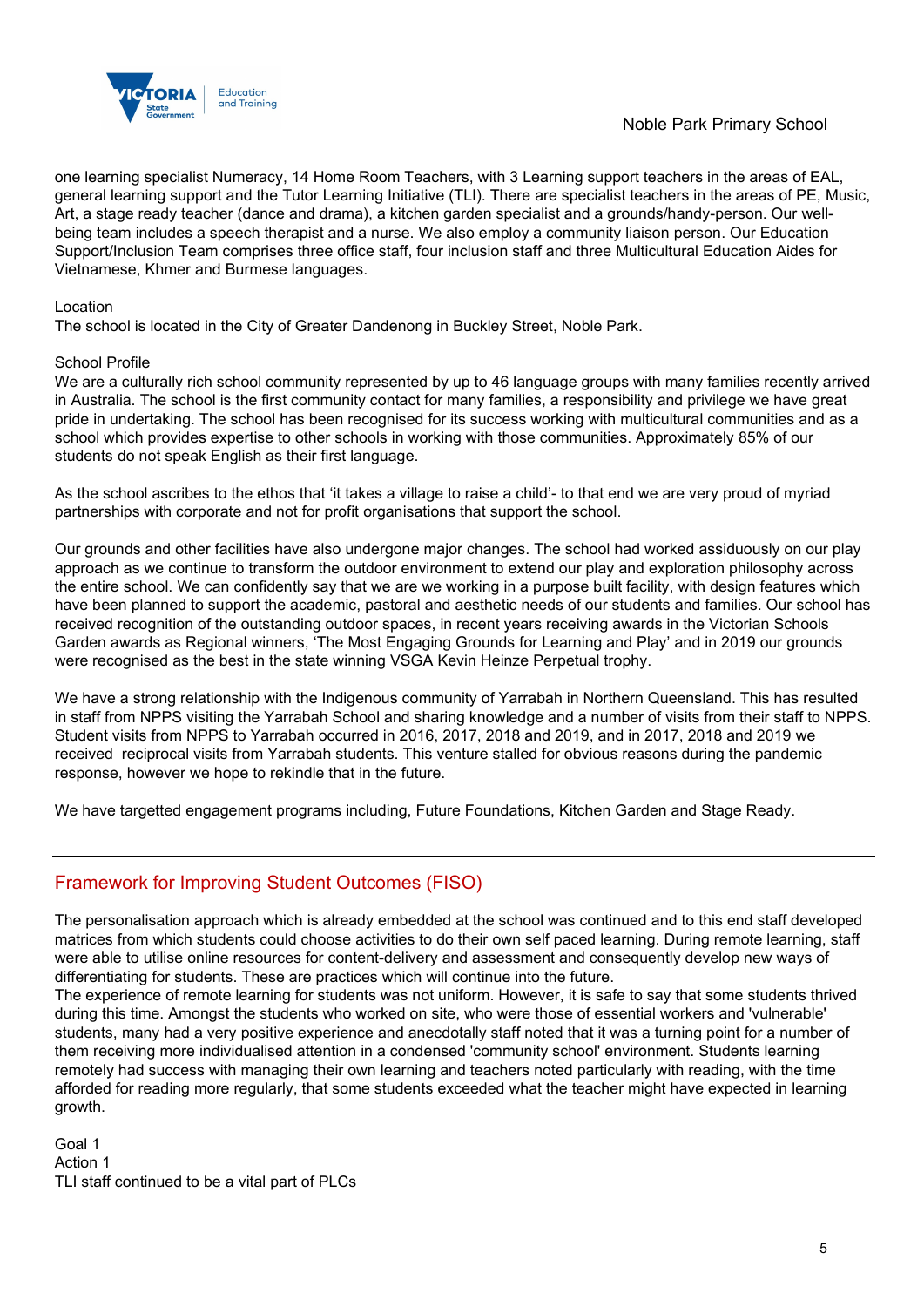

one learning specialist Numeracy, 14 Home Room Teachers, with 3 Learning support teachers in the areas of EAL, general learning support and the Tutor Learning Initiative (TLI). There are specialist teachers in the areas of PE, Music, Art, a stage ready teacher (dance and drama), a kitchen garden specialist and a grounds/handy-person. Our wellbeing team includes a speech therapist and a nurse. We also employ a community liaison person. Our Education Support/Inclusion Team comprises three office staff, four inclusion staff and three Multicultural Education Aides for Vietnamese, Khmer and Burmese languages.

#### Location

The school is located in the City of Greater Dandenong in Buckley Street, Noble Park.

#### School Profile

We are a culturally rich school community represented by up to 46 language groups with many families recently arrived in Australia. The school is the first community contact for many families, a responsibility and privilege we have great pride in undertaking. The school has been recognised for its success working with multicultural communities and as a school which provides expertise to other schools in working with those communities. Approximately 85% of our students do not speak English as their first language.

As the school ascribes to the ethos that 'it takes a village to raise a child'- to that end we are very proud of myriad partnerships with corporate and not for profit organisations that support the school.

Our grounds and other facilities have also undergone major changes. The school had worked assiduously on our play approach as we continue to transform the outdoor environment to extend our play and exploration philosophy across the entire school. We can confidently say that we are we working in a purpose built facility, with design features which have been planned to support the academic, pastoral and aesthetic needs of our students and families. Our school has received recognition of the outstanding outdoor spaces, in recent years receiving awards in the Victorian Schools Garden awards as Regional winners, 'The Most Engaging Grounds for Learning and Play' and in 2019 our grounds were recognised as the best in the state winning VSGA Kevin Heinze Perpetual trophy.

We have a strong relationship with the Indigenous community of Yarrabah in Northern Queensland. This has resulted in staff from NPPS visiting the Yarrabah School and sharing knowledge and a number of visits from their staff to NPPS. Student visits from NPPS to Yarrabah occurred in 2016, 2017, 2018 and 2019, and in 2017, 2018 and 2019 we received reciprocal visits from Yarrabah students. This venture stalled for obvious reasons during the pandemic response, however we hope to rekindle that in the future.

We have targetted engagement programs including, Future Foundations, Kitchen Garden and Stage Ready.

## Framework for Improving Student Outcomes (FISO)

The personalisation approach which is already embedded at the school was continued and to this end staff developed matrices from which students could choose activities to do their own self paced learning. During remote learning, staff were able to utilise online resources for content-delivery and assessment and consequently develop new ways of differentiating for students. These are practices which will continue into the future.

The experience of remote learning for students was not uniform. However, it is safe to say that some students thrived during this time. Amongst the students who worked on site, who were those of essential workers and 'vulnerable' students, many had a very positive experience and anecdotally staff noted that it was a turning point for a number of them receiving more individualised attention in a condensed 'community school' environment. Students learning remotely had success with managing their own learning and teachers noted particularly with reading, with the time afforded for reading more regularly, that some students exceeded what the teacher might have expected in learning growth.

Goal 1 Action 1 TLI staff continued to be a vital part of PLCs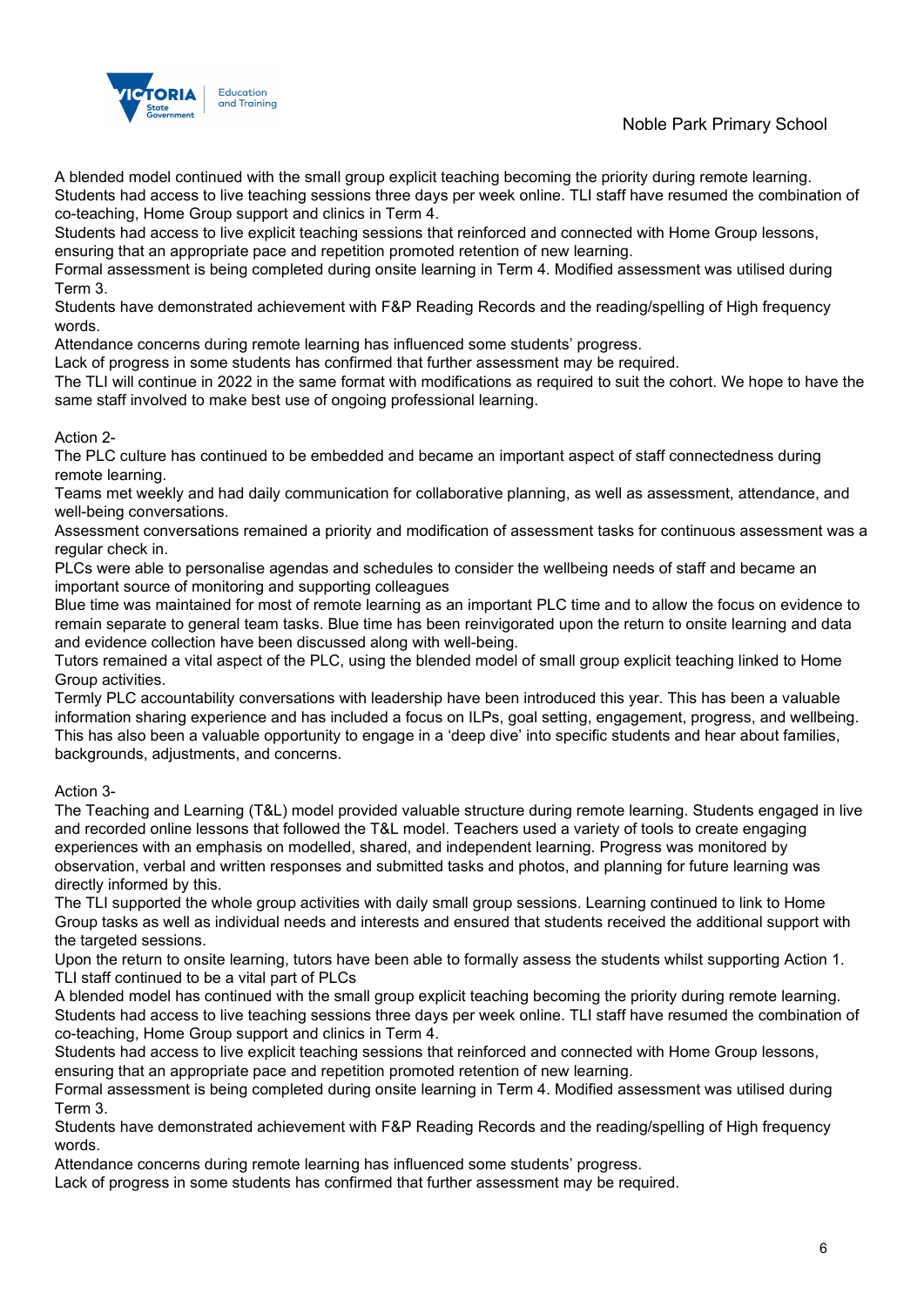

A blended model continued with the small group explicit teaching becoming the priority during remote learning. Students had access to live teaching sessions three days per week online. TLI staff have resumed the combination of co-teaching, Home Group support and clinics in Term 4.

Students had access to live explicit teaching sessions that reinforced and connected with Home Group lessons, ensuring that an appropriate pace and repetition promoted retention of new learning.

Formal assessment is being completed during onsite learning in Term 4. Modified assessment was utilised during Term 3.

Students have demonstrated achievement with F&P Reading Records and the reading/spelling of High frequency words.

Attendance concerns during remote learning has influenced some students' progress.

Lack of progress in some students has confirmed that further assessment may be required.

The TLI will continue in 2022 in the same format with modifications as required to suit the cohort. We hope to have the same staff involved to make best use of ongoing professional learning.

## Action 2-

The PLC culture has continued to be embedded and became an important aspect of staff connectedness during remote learning.

Teams met weekly and had daily communication for collaborative planning, as well as assessment, attendance, and well-being conversations.

Assessment conversations remained a priority and modification of assessment tasks for continuous assessment was a regular check in.

PLCs were able to personalise agendas and schedules to consider the wellbeing needs of staff and became an important source of monitoring and supporting colleagues

Blue time was maintained for most of remote learning as an important PLC time and to allow the focus on evidence to remain separate to general team tasks. Blue time has been reinvigorated upon the return to onsite learning and data and evidence collection have been discussed along with well-being.

Tutors remained a vital aspect of the PLC, using the blended model of small group explicit teaching linked to Home Group activities.

Termly PLC accountability conversations with leadership have been introduced this year. This has been a valuable information sharing experience and has included a focus on ILPs, goal setting, engagement, progress, and wellbeing. This has also been a valuable opportunity to engage in a 'deep dive' into specific students and hear about families, backgrounds, adjustments, and concerns.

## Action 3-

The Teaching and Learning (T&L) model provided valuable structure during remote learning. Students engaged in live and recorded online lessons that followed the T&L model. Teachers used a variety of tools to create engaging experiences with an emphasis on modelled, shared, and independent learning. Progress was monitored by observation, verbal and written responses and submitted tasks and photos, and planning for future learning was directly informed by this.

The TLI supported the whole group activities with daily small group sessions. Learning continued to link to Home Group tasks as well as individual needs and interests and ensured that students received the additional support with the targeted sessions.

Upon the return to onsite learning, tutors have been able to formally assess the students whilst supporting Action 1. TLI staff continued to be a vital part of PLCs

A blended model has continued with the small group explicit teaching becoming the priority during remote learning. Students had access to live teaching sessions three days per week online. TLI staff have resumed the combination of co-teaching, Home Group support and clinics in Term 4.

Students had access to live explicit teaching sessions that reinforced and connected with Home Group lessons, ensuring that an appropriate pace and repetition promoted retention of new learning.

Formal assessment is being completed during onsite learning in Term 4. Modified assessment was utilised during Term 3.

Students have demonstrated achievement with F&P Reading Records and the reading/spelling of High frequency words.

Attendance concerns during remote learning has influenced some students' progress.

Lack of progress in some students has confirmed that further assessment may be required.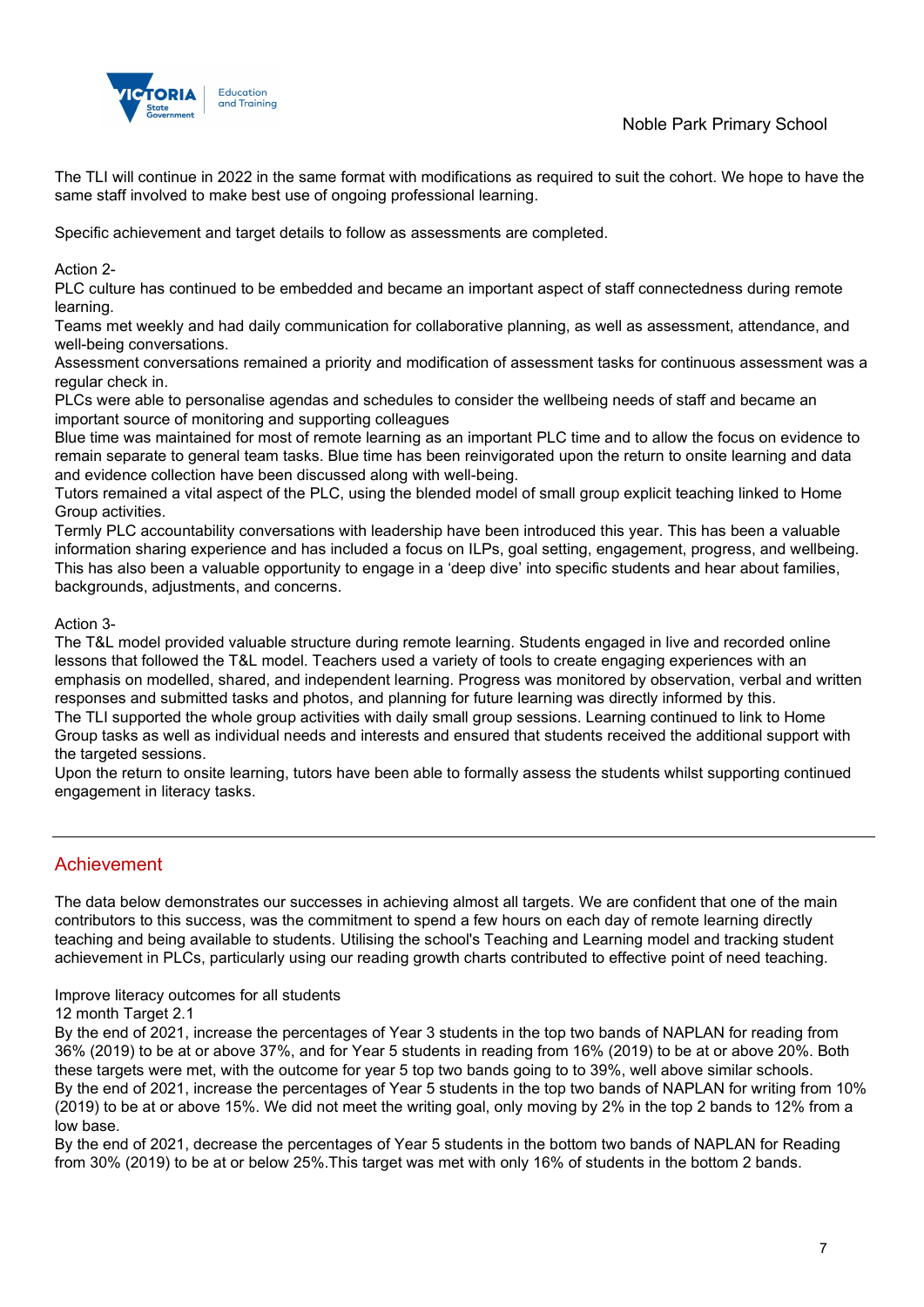

The TLI will continue in 2022 in the same format with modifications as required to suit the cohort. We hope to have the same staff involved to make best use of ongoing professional learning.

Specific achievement and target details to follow as assessments are completed.

Action 2-

PLC culture has continued to be embedded and became an important aspect of staff connectedness during remote learning.

Teams met weekly and had daily communication for collaborative planning, as well as assessment, attendance, and well-being conversations.

Assessment conversations remained a priority and modification of assessment tasks for continuous assessment was a regular check in.

PLCs were able to personalise agendas and schedules to consider the wellbeing needs of staff and became an important source of monitoring and supporting colleagues

Blue time was maintained for most of remote learning as an important PLC time and to allow the focus on evidence to remain separate to general team tasks. Blue time has been reinvigorated upon the return to onsite learning and data and evidence collection have been discussed along with well-being.

Tutors remained a vital aspect of the PLC, using the blended model of small group explicit teaching linked to Home Group activities.

Termly PLC accountability conversations with leadership have been introduced this year. This has been a valuable information sharing experience and has included a focus on ILPs, goal setting, engagement, progress, and wellbeing. This has also been a valuable opportunity to engage in a 'deep dive' into specific students and hear about families, backgrounds, adjustments, and concerns.

## Action 3-

The T&L model provided valuable structure during remote learning. Students engaged in live and recorded online lessons that followed the T&L model. Teachers used a variety of tools to create engaging experiences with an emphasis on modelled, shared, and independent learning. Progress was monitored by observation, verbal and written responses and submitted tasks and photos, and planning for future learning was directly informed by this. The TLI supported the whole group activities with daily small group sessions. Learning continued to link to Home Group tasks as well as individual needs and interests and ensured that students received the additional support with the targeted sessions.

Upon the return to onsite learning, tutors have been able to formally assess the students whilst supporting continued engagement in literacy tasks.

## Achievement

The data below demonstrates our successes in achieving almost all targets. We are confident that one of the main contributors to this success, was the commitment to spend a few hours on each day of remote learning directly teaching and being available to students. Utilising the school's Teaching and Learning model and tracking student achievement in PLCs, particularly using our reading growth charts contributed to effective point of need teaching.

Improve literacy outcomes for all students

12 month Target 2.1

By the end of 2021, increase the percentages of Year 3 students in the top two bands of NAPLAN for reading from 36% (2019) to be at or above 37%, and for Year 5 students in reading from 16% (2019) to be at or above 20%. Both these targets were met, with the outcome for year 5 top two bands going to to 39%, well above similar schools. By the end of 2021, increase the percentages of Year 5 students in the top two bands of NAPLAN for writing from 10% (2019) to be at or above 15%. We did not meet the writing goal, only moving by 2% in the top 2 bands to 12% from a low base.

By the end of 2021, decrease the percentages of Year 5 students in the bottom two bands of NAPLAN for Reading from 30% (2019) to be at or below 25%.This target was met with only 16% of students in the bottom 2 bands.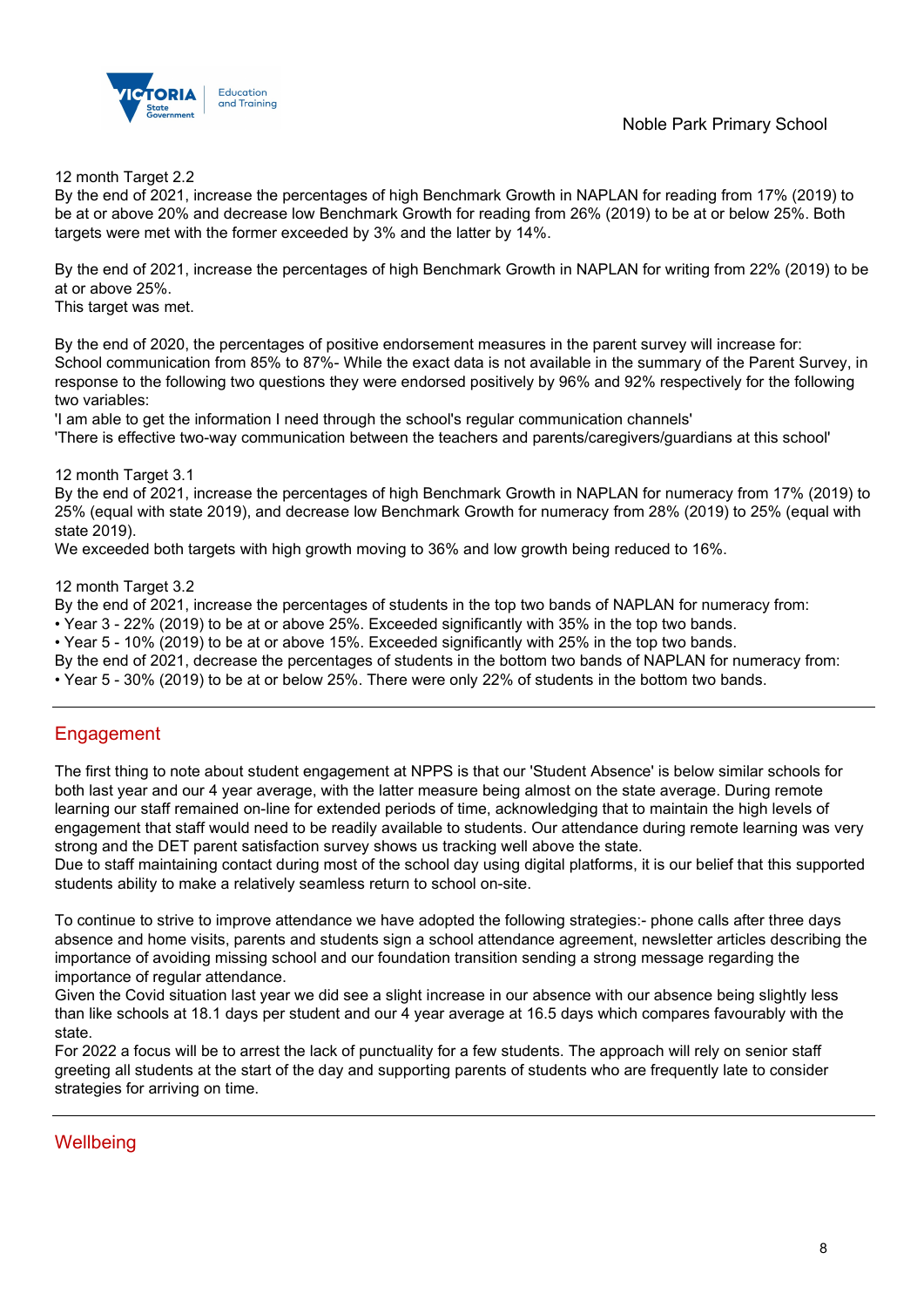

#### 12 month Target 2.2

By the end of 2021, increase the percentages of high Benchmark Growth in NAPLAN for reading from 17% (2019) to be at or above 20% and decrease low Benchmark Growth for reading from 26% (2019) to be at or below 25%. Both targets were met with the former exceeded by 3% and the latter by 14%.

By the end of 2021, increase the percentages of high Benchmark Growth in NAPLAN for writing from 22% (2019) to be at or above 25%.

This target was met.

By the end of 2020, the percentages of positive endorsement measures in the parent survey will increase for: School communication from 85% to 87%- While the exact data is not available in the summary of the Parent Survey, in response to the following two questions they were endorsed positively by 96% and 92% respectively for the following two variables:

'I am able to get the information I need through the school's regular communication channels'

'There is effective two-way communication between the teachers and parents/caregivers/guardians at this school'

12 month Target 3.1

By the end of 2021, increase the percentages of high Benchmark Growth in NAPLAN for numeracy from 17% (2019) to 25% (equal with state 2019), and decrease low Benchmark Growth for numeracy from 28% (2019) to 25% (equal with state 2019).

We exceeded both targets with high growth moving to 36% and low growth being reduced to 16%.

12 month Target 3.2

By the end of 2021, increase the percentages of students in the top two bands of NAPLAN for numeracy from:

• Year 3 - 22% (2019) to be at or above 25%. Exceeded significantly with 35% in the top two bands.

• Year 5 - 10% (2019) to be at or above 15%. Exceeded significantly with 25% in the top two bands.

By the end of 2021, decrease the percentages of students in the bottom two bands of NAPLAN for numeracy from:

• Year 5 - 30% (2019) to be at or below 25%. There were only 22% of students in the bottom two bands.

## **Engagement**

The first thing to note about student engagement at NPPS is that our 'Student Absence' is below similar schools for both last year and our 4 year average, with the latter measure being almost on the state average. During remote learning our staff remained on-line for extended periods of time, acknowledging that to maintain the high levels of engagement that staff would need to be readily available to students. Our attendance during remote learning was very strong and the DET parent satisfaction survey shows us tracking well above the state.

Due to staff maintaining contact during most of the school day using digital platforms, it is our belief that this supported students ability to make a relatively seamless return to school on-site.

To continue to strive to improve attendance we have adopted the following strategies:- phone calls after three days absence and home visits, parents and students sign a school attendance agreement, newsletter articles describing the importance of avoiding missing school and our foundation transition sending a strong message regarding the importance of regular attendance.

Given the Covid situation last year we did see a slight increase in our absence with our absence being slightly less than like schools at 18.1 days per student and our 4 year average at 16.5 days which compares favourably with the state.

For 2022 a focus will be to arrest the lack of punctuality for a few students. The approach will rely on senior staff greeting all students at the start of the day and supporting parents of students who are frequently late to consider strategies for arriving on time.

## **Wellbeing**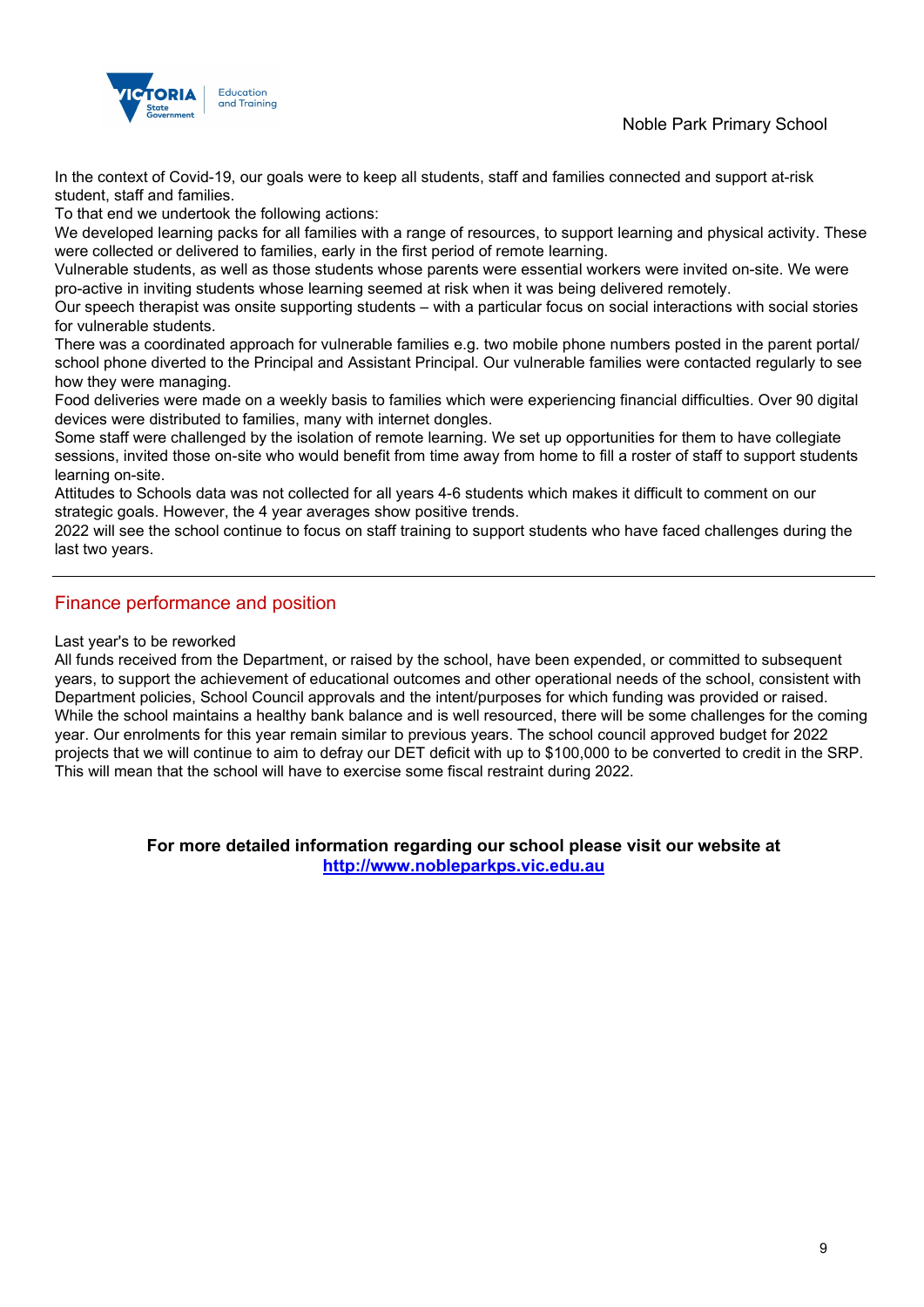

In the context of Covid-19, our goals were to keep all students, staff and families connected and support at-risk student, staff and families.

To that end we undertook the following actions:

We developed learning packs for all families with a range of resources, to support learning and physical activity. These were collected or delivered to families, early in the first period of remote learning.

Vulnerable students, as well as those students whose parents were essential workers were invited on-site. We were pro-active in inviting students whose learning seemed at risk when it was being delivered remotely.

Our speech therapist was onsite supporting students – with a particular focus on social interactions with social stories for vulnerable students.

There was a coordinated approach for vulnerable families e.g. two mobile phone numbers posted in the parent portal/ school phone diverted to the Principal and Assistant Principal. Our vulnerable families were contacted regularly to see how they were managing.

Food deliveries were made on a weekly basis to families which were experiencing financial difficulties. Over 90 digital devices were distributed to families, many with internet dongles.

Some staff were challenged by the isolation of remote learning. We set up opportunities for them to have collegiate sessions, invited those on-site who would benefit from time away from home to fill a roster of staff to support students learning on-site.

Attitudes to Schools data was not collected for all years 4-6 students which makes it difficult to comment on our strategic goals. However, the 4 year averages show positive trends.

2022 will see the school continue to focus on staff training to support students who have faced challenges during the last two years.

## Finance performance and position

#### Last year's to be reworked

All funds received from the Department, or raised by the school, have been expended, or committed to subsequent years, to support the achievement of educational outcomes and other operational needs of the school, consistent with Department policies, School Council approvals and the intent/purposes for which funding was provided or raised. While the school maintains a healthy bank balance and is well resourced, there will be some challenges for the coming year. Our enrolments for this year remain similar to previous years. The school council approved budget for 2022 projects that we will continue to aim to defray our DET deficit with up to \$100,000 to be converted to credit in the SRP. This will mean that the school will have to exercise some fiscal restraint during 2022.

> **For more detailed information regarding our school please visit our website at [http://www.nobleparkps.vic.edu.au](http://www.nobleparkps.vic.edu.au/)**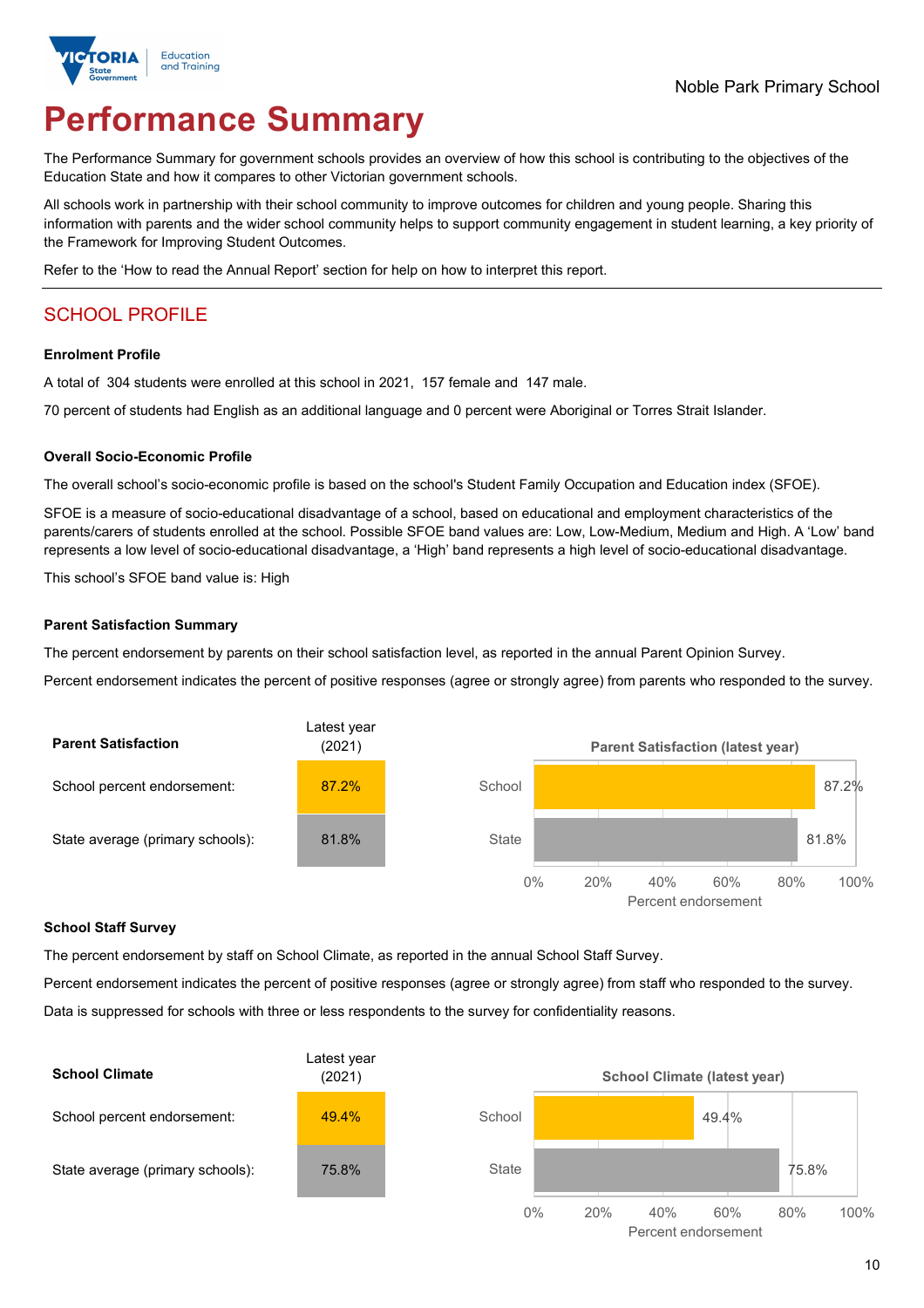

# **Performance Summary**

The Performance Summary for government schools provides an overview of how this school is contributing to the objectives of the Education State and how it compares to other Victorian government schools.

All schools work in partnership with their school community to improve outcomes for children and young people. Sharing this information with parents and the wider school community helps to support community engagement in student learning, a key priority of the Framework for Improving Student Outcomes.

Refer to the 'How to read the Annual Report' section for help on how to interpret this report.

## SCHOOL PROFILE

#### **Enrolment Profile**

A total of 304 students were enrolled at this school in 2021, 157 female and 147 male.

70 percent of students had English as an additional language and 0 percent were Aboriginal or Torres Strait Islander.

#### **Overall Socio-Economic Profile**

The overall school's socio-economic profile is based on the school's Student Family Occupation and Education index (SFOE).

SFOE is a measure of socio-educational disadvantage of a school, based on educational and employment characteristics of the parents/carers of students enrolled at the school. Possible SFOE band values are: Low, Low-Medium, Medium and High. A 'Low' band represents a low level of socio-educational disadvantage, a 'High' band represents a high level of socio-educational disadvantage.

This school's SFOE band value is: High

#### **Parent Satisfaction Summary**

The percent endorsement by parents on their school satisfaction level, as reported in the annual Parent Opinion Survey.

Percent endorsement indicates the percent of positive responses (agree or strongly agree) from parents who responded to the survey.



#### **School Staff Survey**

The percent endorsement by staff on School Climate, as reported in the annual School Staff Survey.

Percent endorsement indicates the percent of positive responses (agree or strongly agree) from staff who responded to the survey. Data is suppressed for schools with three or less respondents to the survey for confidentiality reasons.

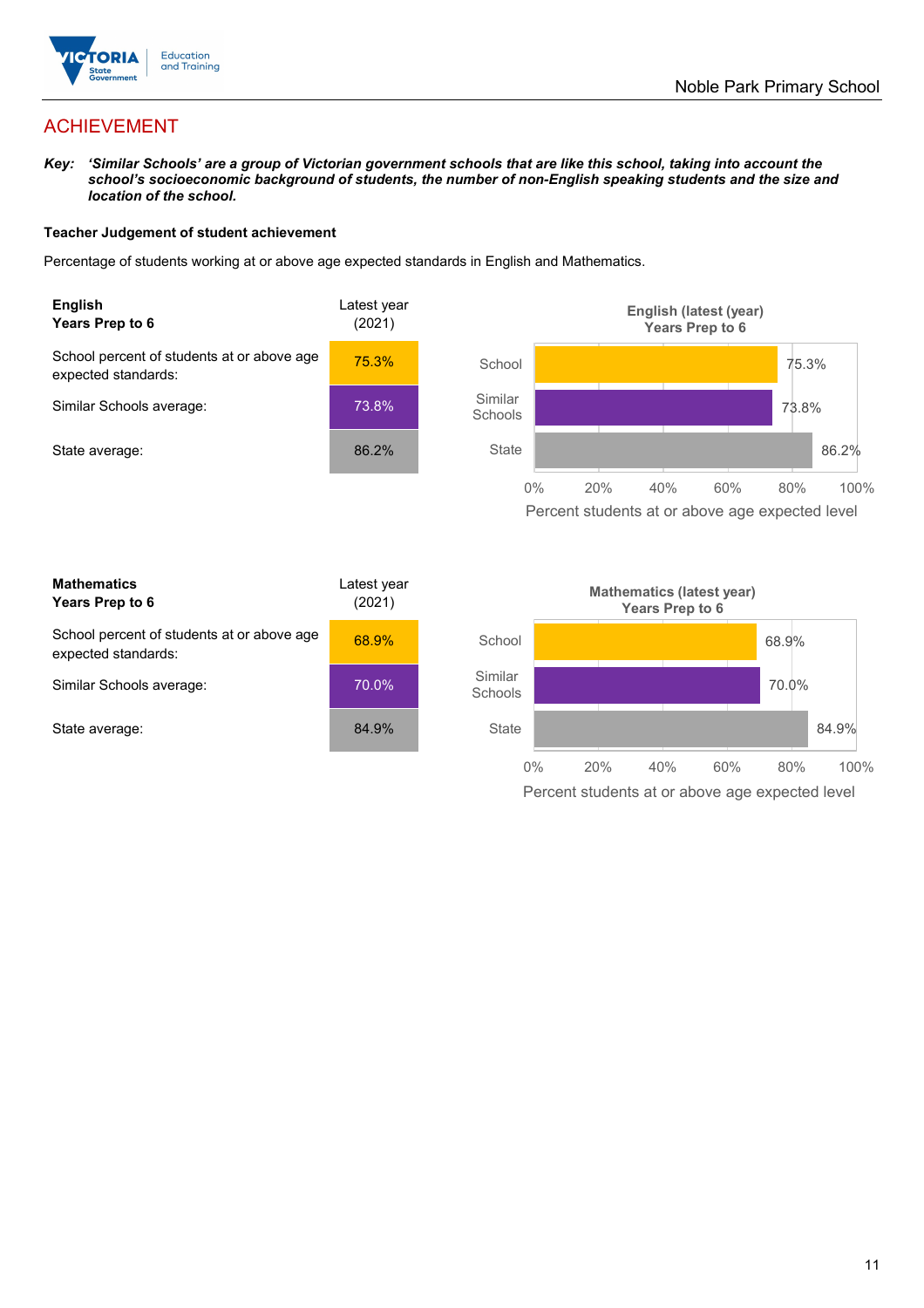

## ACHIEVEMENT

*Key: 'Similar Schools' are a group of Victorian government schools that are like this school, taking into account the school's socioeconomic background of students, the number of non-English speaking students and the size and location of the school.*

#### **Teacher Judgement of student achievement**

Percentage of students working at or above age expected standards in English and Mathematics.



Percent students at or above age expected level

| <b>Mathematics</b><br>Years Prep to 6                             | Latest year<br>(2021) |
|-------------------------------------------------------------------|-----------------------|
| School percent of students at or above age<br>expected standards: | 68.9%                 |
| Similar Schools average:                                          | 70.0%                 |
| State average:                                                    | 84.9%                 |

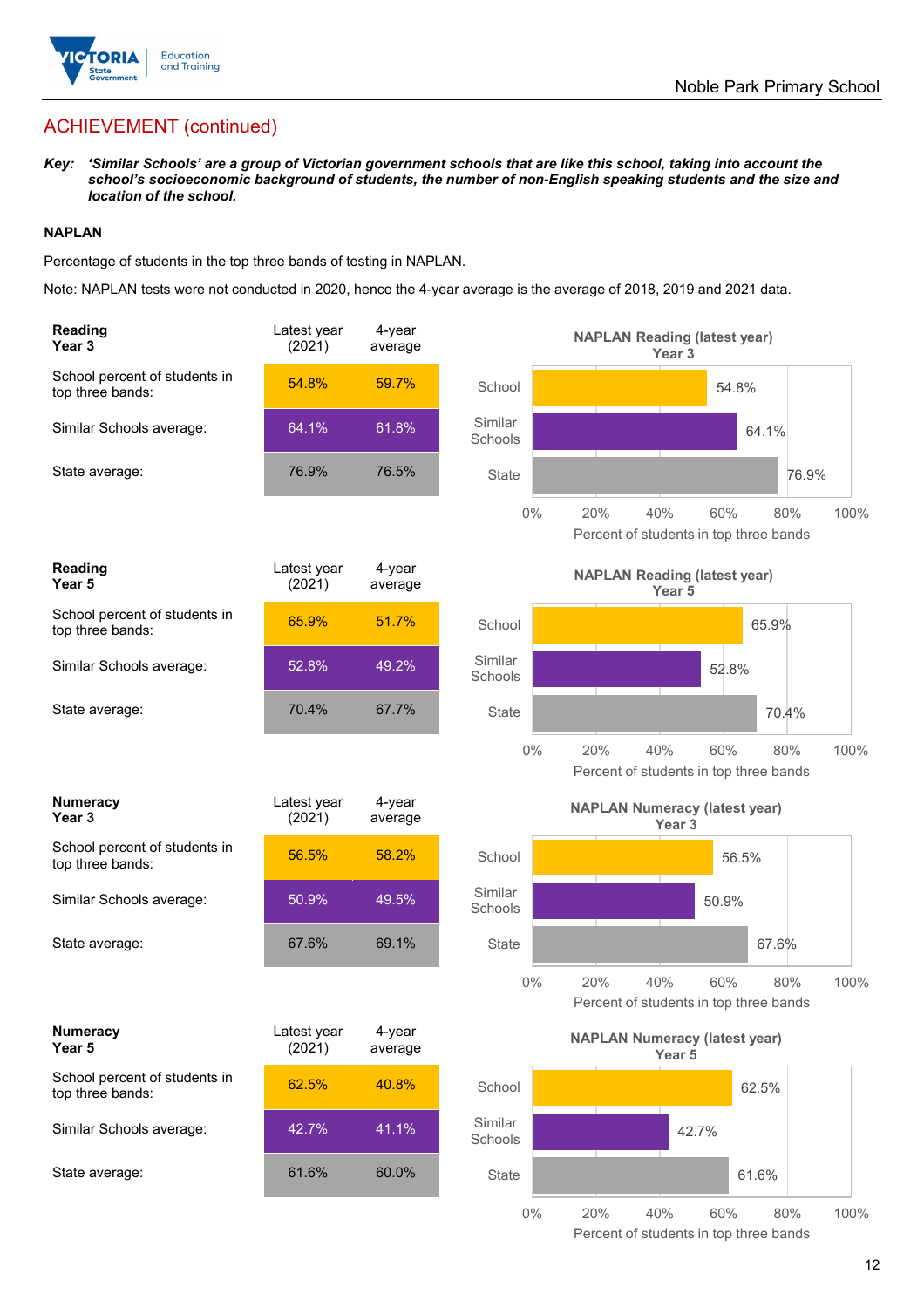

## ACHIEVEMENT (continued)

*Key: 'Similar Schools' are a group of Victorian government schools that are like this school, taking into account the school's socioeconomic background of students, the number of non-English speaking students and the size and location of the school.*

#### **NAPLAN**

Percentage of students in the top three bands of testing in NAPLAN.

Note: NAPLAN tests were not conducted in 2020, hence the 4-year average is the average of 2018, 2019 and 2021 data.

| Reading<br>Year 3                                 | Latest year<br>(2021) | $4$ -year<br>average |                    | <b>NAPLAN Reading (latest year)</b><br>Year <sub>3</sub>                   |
|---------------------------------------------------|-----------------------|----------------------|--------------------|----------------------------------------------------------------------------|
| School percent of students in<br>top three bands: | 54.8%                 | 59.7%                | School             | 54.8%                                                                      |
| Similar Schools average:                          | 64.1%                 | 61.8%                | Similar<br>Schools | 64.1%                                                                      |
| State average:                                    | 76.9%                 | 76.5%                | <b>State</b>       | 76.9%                                                                      |
|                                                   |                       |                      | $0\%$              | 20%<br>40%<br>60%<br>80%<br>100%<br>Percent of students in top three bands |
| <b>Reading</b><br>Year <sub>5</sub>               | Latest year<br>(2021) | 4-year<br>average    |                    | <b>NAPLAN Reading (latest year)</b><br>Year 5                              |
| School percent of students in<br>top three bands: | 65.9%                 | 51.7%                | School             | 65.9%                                                                      |
| Similar Schools average:                          | 52.8%                 | 49.2%                | Similar<br>Schools | 52.8%                                                                      |
| State average:                                    | 70.4%                 | 67.7%                | <b>State</b>       | 70.4%                                                                      |
|                                                   |                       |                      | $0\%$              | 20%<br>40%<br>60%<br>80%<br>100%<br>Percent of students in top three bands |
|                                                   |                       |                      |                    |                                                                            |
| <b>Numeracy</b><br>Year <sub>3</sub>              | Latest year<br>(2021) | 4-year<br>average    |                    | <b>NAPLAN Numeracy (latest year)</b><br>Year <sub>3</sub>                  |
| School percent of students in<br>top three bands: | 56.5%                 | 58.2%                | School             | 56.5%                                                                      |
| Similar Schools average:                          | 50.9%                 | 49.5%                | Similar<br>Schools | 50.9%                                                                      |
| State average:                                    | 67.6%                 | 69.1%                | <b>State</b>       | 67.6%                                                                      |
|                                                   |                       |                      | $0\%$              | 40%<br>60%<br>100%<br>20%<br>80%<br>Percent of students in top three bands |
| <b>Numeracy</b><br>Year 5                         | Latest year<br>(2021) | 4-year<br>average    |                    | <b>NAPLAN Numeracy (latest year)</b><br>Year 5                             |
| School percent of students in<br>top three bands: | 62.5%                 | 40.8%                | School             | 62.5%                                                                      |
| Similar Schools average:                          | 42.7%                 | 41.1%                | Similar<br>Schools | 42.7%                                                                      |
| State average:                                    | 61.6%                 | 60.0%                | State              | 61.6%                                                                      |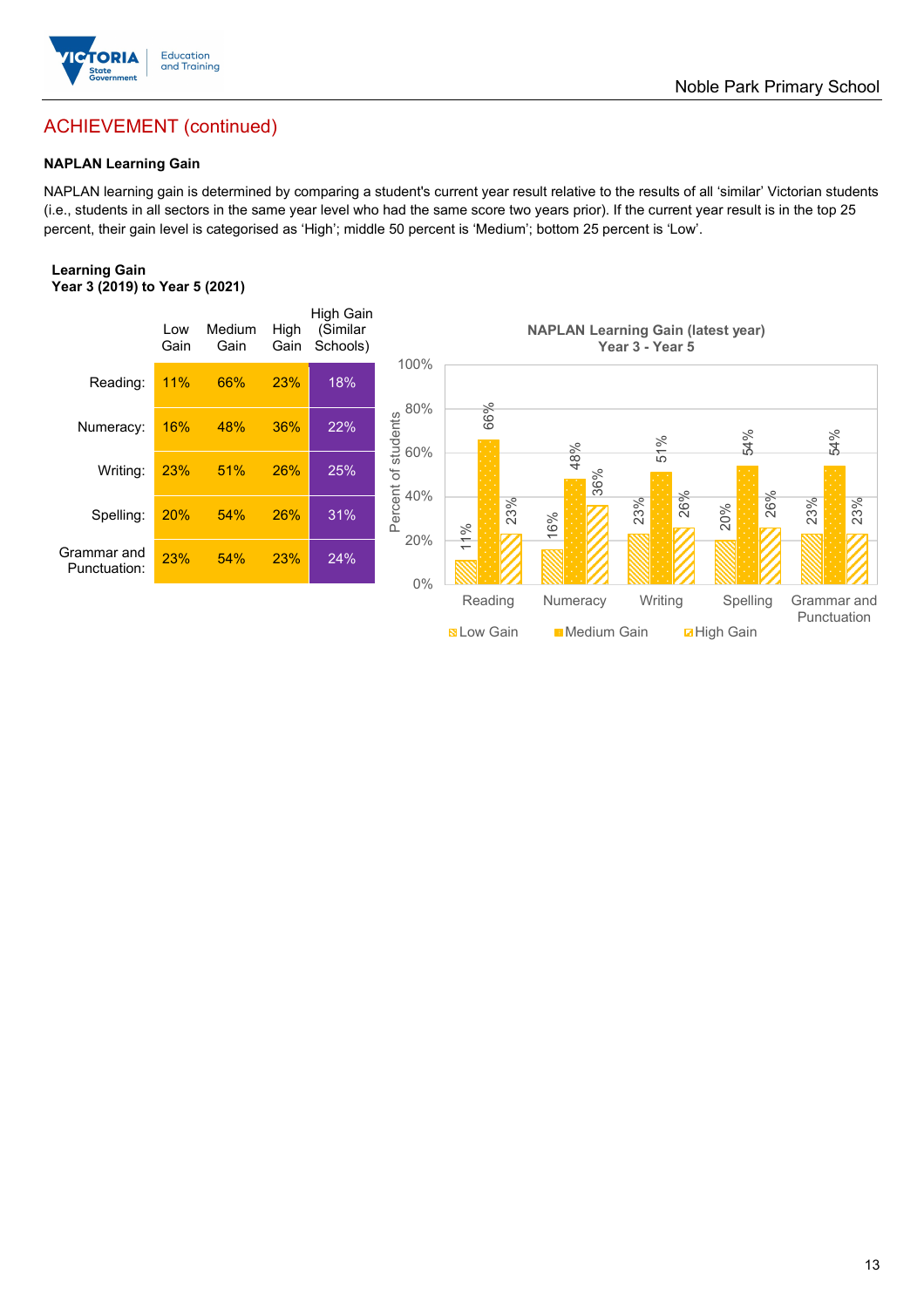

## ACHIEVEMENT (continued)

## **NAPLAN Learning Gain**

NAPLAN learning gain is determined by comparing a student's current year result relative to the results of all 'similar' Victorian students (i.e., students in all sectors in the same year level who had the same score two years prior). If the current year result is in the top 25 percent, their gain level is categorised as 'High'; middle 50 percent is 'Medium'; bottom 25 percent is 'Low'.

#### **Learning Gain Year 3 (2019) to Year 5 (2021)**

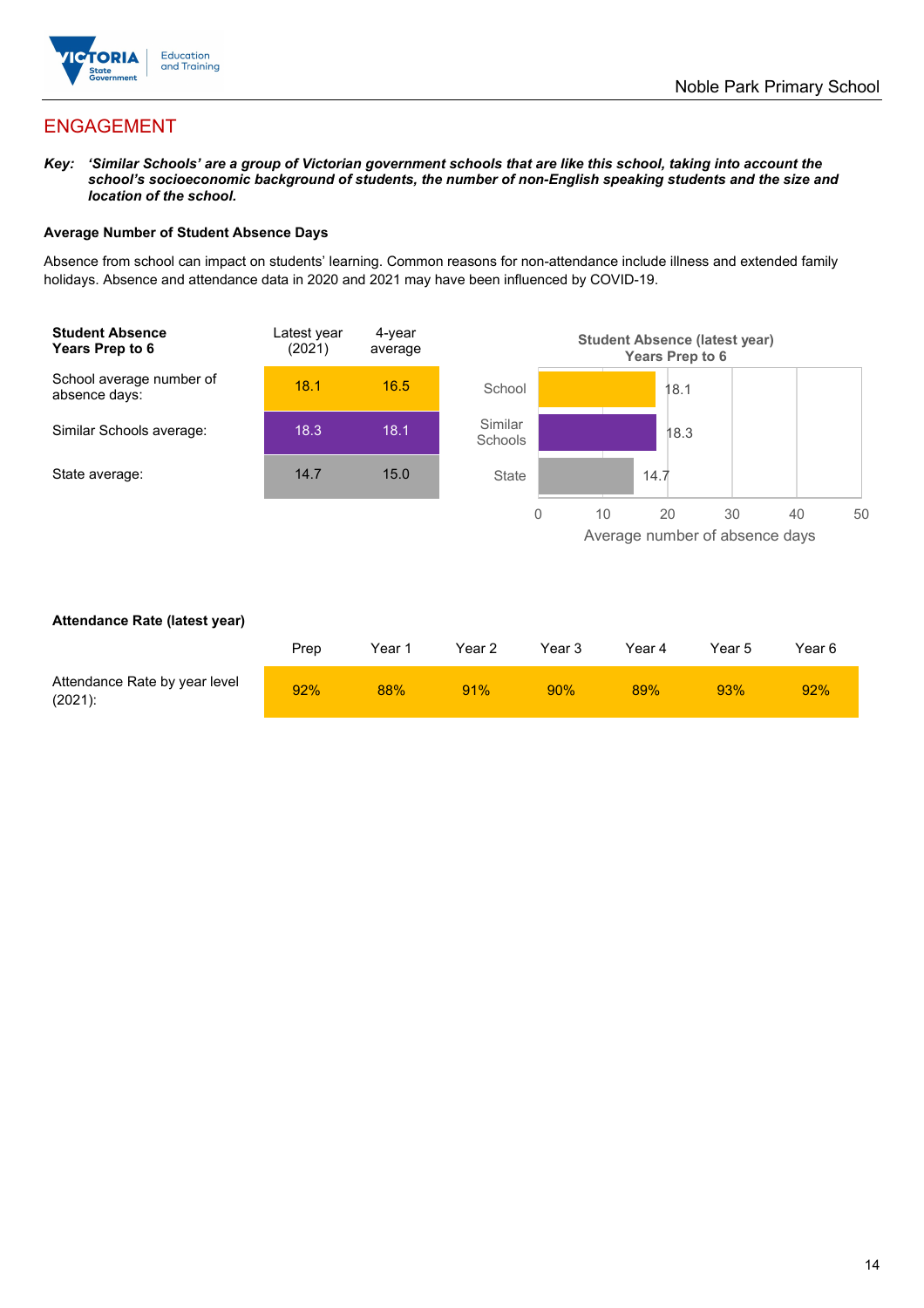

## ENGAGEMENT

*Key: 'Similar Schools' are a group of Victorian government schools that are like this school, taking into account the school's socioeconomic background of students, the number of non-English speaking students and the size and location of the school.*

#### **Average Number of Student Absence Days**

Absence from school can impact on students' learning. Common reasons for non-attendance include illness and extended family holidays. Absence and attendance data in 2020 and 2021 may have been influenced by COVID-19.



#### **Attendance Rate (latest year)**

|                                             | Prep | Year 1 | Year 2 | Year 3 | Year 4 | Year 5 | Year 6 |
|---------------------------------------------|------|--------|--------|--------|--------|--------|--------|
| Attendance Rate by year level<br>$(2021)$ : | 92%  | 88%    | 91%    | 90%    | 89%    | 93%    | 92%    |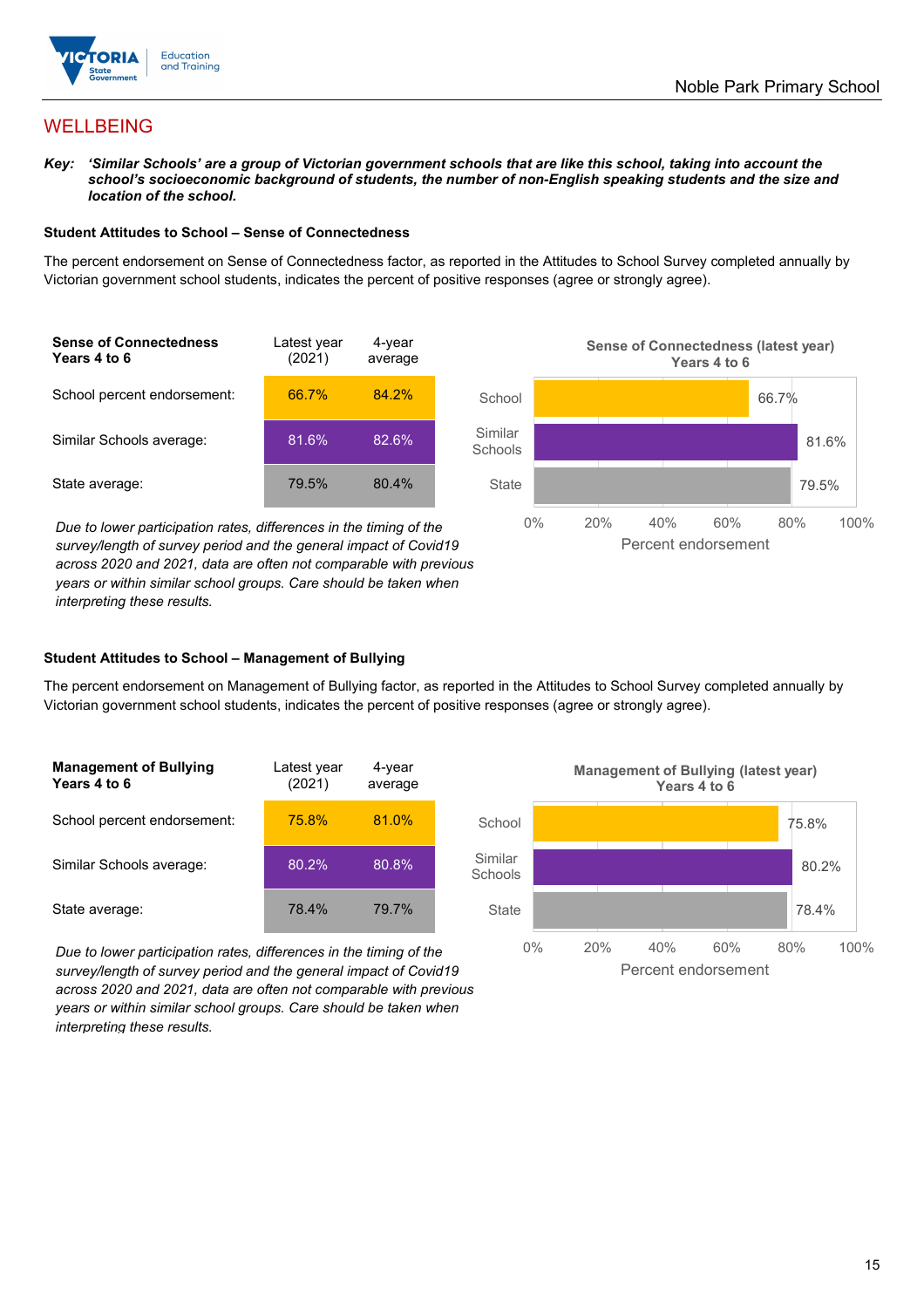

## WELLBEING

*Key: 'Similar Schools' are a group of Victorian government schools that are like this school, taking into account the school's socioeconomic background of students, the number of non-English speaking students and the size and location of the school.*

#### **Student Attitudes to School – Sense of Connectedness**

The percent endorsement on Sense of Connectedness factor, as reported in the Attitudes to School Survey completed annually by Victorian government school students, indicates the percent of positive responses (agree or strongly agree).



*Due to lower participation rates, differences in the timing of the survey/length of survey period and the general impact of Covid19 across 2020 and 2021, data are often not comparable with previous years or within similar school groups. Care should be taken when interpreting these results.*



#### **Student Attitudes to School – Management of Bullying**

The percent endorsement on Management of Bullying factor, as reported in the Attitudes to School Survey completed annually by Victorian government school students, indicates the percent of positive responses (agree or strongly agree).

| <b>Management of Bullying</b><br>Years 4 to 6 | Latest year<br>(2021) | 4-year<br>average |  |
|-----------------------------------------------|-----------------------|-------------------|--|
| School percent endorsement:                   | 75.8%                 | 81.0%             |  |
| Similar Schools average:                      | 80.2%                 | 80.8%             |  |
| State average:                                | 78.4%                 | 79.7%             |  |

*Due to lower participation rates, differences in the timing of the survey/length of survey period and the general impact of Covid19 across 2020 and 2021, data are often not comparable with previous years or within similar school groups. Care should be taken when interpreting these results.*

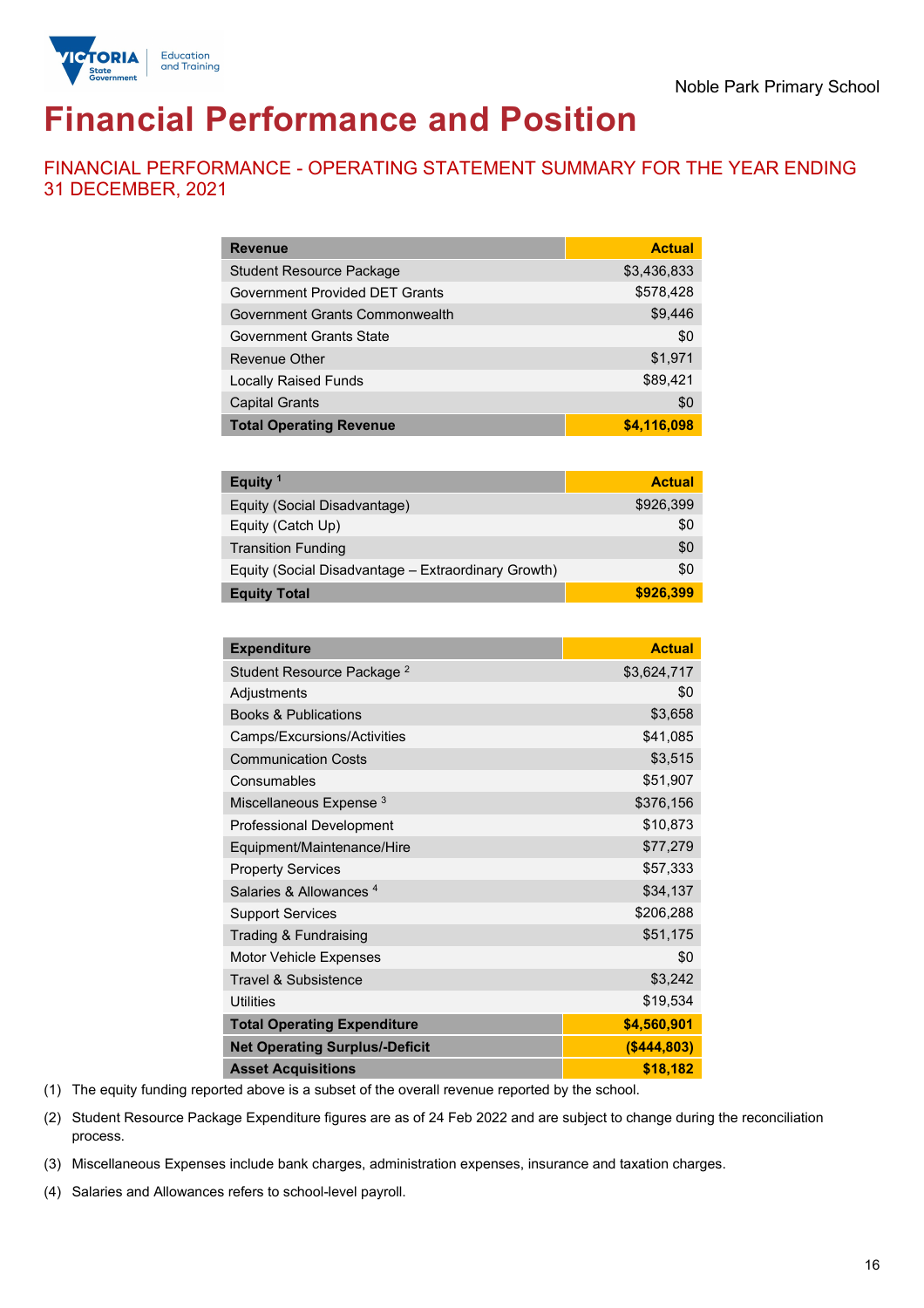

# **Financial Performance and Position**

FINANCIAL PERFORMANCE - OPERATING STATEMENT SUMMARY FOR THE YEAR ENDING 31 DECEMBER, 2021

| <b>Revenue</b>                  | <b>Actual</b> |
|---------------------------------|---------------|
| <b>Student Resource Package</b> | \$3,436,833   |
| Government Provided DET Grants  | \$578,428     |
| Government Grants Commonwealth  | \$9,446       |
| Government Grants State         | \$0           |
| <b>Revenue Other</b>            | \$1,971       |
| <b>Locally Raised Funds</b>     | \$89,421      |
| <b>Capital Grants</b>           | \$0           |
| <b>Total Operating Revenue</b>  | \$4,116,098   |

| Equity <sup>1</sup>                                 | <b>Actual</b> |
|-----------------------------------------------------|---------------|
| Equity (Social Disadvantage)                        | \$926,399     |
| Equity (Catch Up)                                   | \$0           |
| <b>Transition Funding</b>                           | \$0           |
| Equity (Social Disadvantage - Extraordinary Growth) | \$0           |
| <b>Equity Total</b>                                 | \$926,399     |

| <b>Expenditure</b>                    | <b>Actual</b> |
|---------------------------------------|---------------|
| Student Resource Package <sup>2</sup> | \$3,624,717   |
| Adjustments                           | \$0           |
| <b>Books &amp; Publications</b>       | \$3,658       |
| Camps/Excursions/Activities           | \$41,085      |
| <b>Communication Costs</b>            | \$3,515       |
| Consumables                           | \$51,907      |
| Miscellaneous Expense <sup>3</sup>    | \$376,156     |
| <b>Professional Development</b>       | \$10,873      |
| Equipment/Maintenance/Hire            | \$77,279      |
| <b>Property Services</b>              | \$57,333      |
| Salaries & Allowances <sup>4</sup>    | \$34,137      |
| <b>Support Services</b>               | \$206,288     |
| Trading & Fundraising                 | \$51,175      |
| Motor Vehicle Expenses                | \$0           |
| <b>Travel &amp; Subsistence</b>       | \$3,242       |
| <b>Utilities</b>                      | \$19,534      |
| <b>Total Operating Expenditure</b>    | \$4,560,901   |
| <b>Net Operating Surplus/-Deficit</b> | ( \$444, 803) |
| <b>Asset Acquisitions</b>             | \$18,182      |

(1) The equity funding reported above is a subset of the overall revenue reported by the school.

(2) Student Resource Package Expenditure figures are as of 24 Feb 2022 and are subject to change during the reconciliation process.

(3) Miscellaneous Expenses include bank charges, administration expenses, insurance and taxation charges.

(4) Salaries and Allowances refers to school-level payroll.